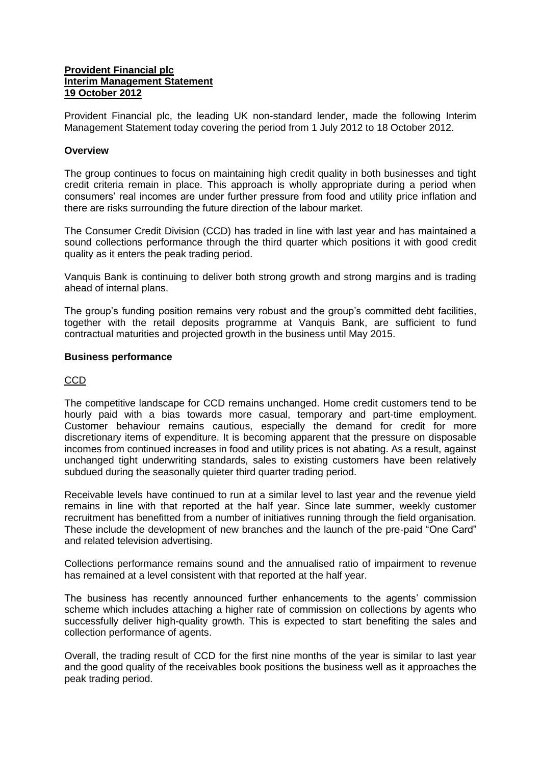### **Provident Financial plc Interim Management Statement 19 October 2012**

Provident Financial plc, the leading UK non-standard lender, made the following Interim Management Statement today covering the period from 1 July 2012 to 18 October 2012.

## **Overview**

The group continues to focus on maintaining high credit quality in both businesses and tight credit criteria remain in place. This approach is wholly appropriate during a period when consumers' real incomes are under further pressure from food and utility price inflation and there are risks surrounding the future direction of the labour market.

The Consumer Credit Division (CCD) has traded in line with last year and has maintained a sound collections performance through the third quarter which positions it with good credit quality as it enters the peak trading period.

Vanquis Bank is continuing to deliver both strong growth and strong margins and is trading ahead of internal plans.

The group's funding position remains very robust and the group's committed debt facilities, together with the retail deposits programme at Vanquis Bank, are sufficient to fund contractual maturities and projected growth in the business until May 2015.

### **Business performance**

# CCD

The competitive landscape for CCD remains unchanged. Home credit customers tend to be hourly paid with a bias towards more casual, temporary and part-time employment. Customer behaviour remains cautious, especially the demand for credit for more discretionary items of expenditure. It is becoming apparent that the pressure on disposable incomes from continued increases in food and utility prices is not abating. As a result, against unchanged tight underwriting standards, sales to existing customers have been relatively subdued during the seasonally quieter third quarter trading period.

Receivable levels have continued to run at a similar level to last year and the revenue yield remains in line with that reported at the half year. Since late summer, weekly customer recruitment has benefitted from a number of initiatives running through the field organisation. These include the development of new branches and the launch of the pre-paid "One Card" and related television advertising.

Collections performance remains sound and the annualised ratio of impairment to revenue has remained at a level consistent with that reported at the half year.

The business has recently announced further enhancements to the agents' commission scheme which includes attaching a higher rate of commission on collections by agents who successfully deliver high-quality growth. This is expected to start benefiting the sales and collection performance of agents.

Overall, the trading result of CCD for the first nine months of the year is similar to last year and the good quality of the receivables book positions the business well as it approaches the peak trading period.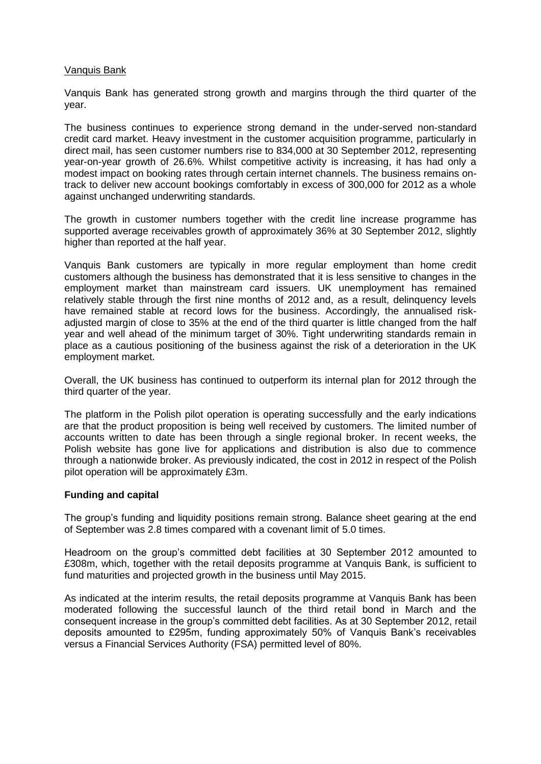### Vanquis Bank

Vanquis Bank has generated strong growth and margins through the third quarter of the year.

The business continues to experience strong demand in the under-served non-standard credit card market. Heavy investment in the customer acquisition programme, particularly in direct mail, has seen customer numbers rise to 834,000 at 30 September 2012, representing year-on-year growth of 26.6%. Whilst competitive activity is increasing, it has had only a modest impact on booking rates through certain internet channels. The business remains ontrack to deliver new account bookings comfortably in excess of 300,000 for 2012 as a whole against unchanged underwriting standards.

The growth in customer numbers together with the credit line increase programme has supported average receivables growth of approximately 36% at 30 September 2012, slightly higher than reported at the half year.

Vanquis Bank customers are typically in more regular employment than home credit customers although the business has demonstrated that it is less sensitive to changes in the employment market than mainstream card issuers. UK unemployment has remained relatively stable through the first nine months of 2012 and, as a result, delinquency levels have remained stable at record lows for the business. Accordingly, the annualised riskadjusted margin of close to 35% at the end of the third quarter is little changed from the half year and well ahead of the minimum target of 30%. Tight underwriting standards remain in place as a cautious positioning of the business against the risk of a deterioration in the UK employment market.

Overall, the UK business has continued to outperform its internal plan for 2012 through the third quarter of the year.

The platform in the Polish pilot operation is operating successfully and the early indications are that the product proposition is being well received by customers. The limited number of accounts written to date has been through a single regional broker. In recent weeks, the Polish website has gone live for applications and distribution is also due to commence through a nationwide broker. As previously indicated, the cost in 2012 in respect of the Polish pilot operation will be approximately £3m.

#### **Funding and capital**

The group's funding and liquidity positions remain strong. Balance sheet gearing at the end of September was 2.8 times compared with a covenant limit of 5.0 times.

Headroom on the group's committed debt facilities at 30 September 2012 amounted to £308m, which, together with the retail deposits programme at Vanquis Bank, is sufficient to fund maturities and projected growth in the business until May 2015.

As indicated at the interim results, the retail deposits programme at Vanquis Bank has been moderated following the successful launch of the third retail bond in March and the consequent increase in the group's committed debt facilities. As at 30 September 2012, retail deposits amounted to £295m, funding approximately 50% of Vanquis Bank's receivables versus a Financial Services Authority (FSA) permitted level of 80%.